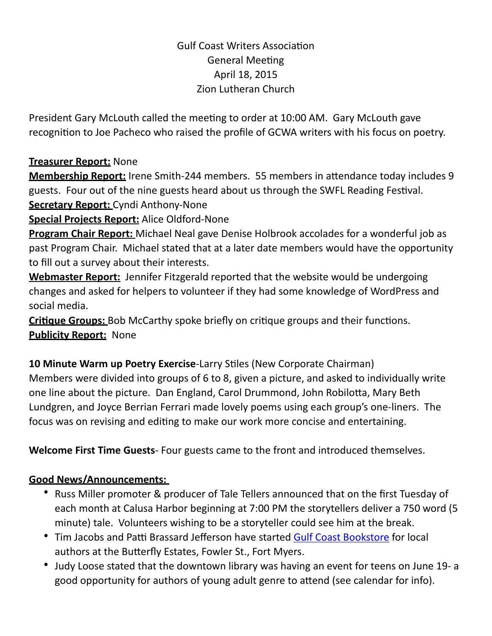## **Gulf Coast Writers Association General Meeting** April 18, 2015 Zion Lutheran Church

President Gary McLouth called the meeting to order at 10:00 AM. Gary McLouth gave recognition to Joe Pacheco who raised the profile of GCWA writers with his focus on poetry.

## **Treasurer Report:** None

**Membership Report:** Irene Smith-244 members. 55 members in attendance today includes 9 guests. Four out of the nine guests heard about us through the SWFL Reading Festival.

**Secretary Report:** Cyndi Anthony-None

**Special Projects Report:** Alice Oldford-None

**Program Chair Report:** Michael Neal gave Denise Holbrook accolades for a wonderful job as past Program Chair. Michael stated that at a later date members would have the opportunity to fill out a survey about their interests.

**Webmaster Report:** Jennifer Fitzgerald reported that the website would be undergoing changes and asked for helpers to volunteer if they had some knowledge of WordPress and social media.

**Critique Groups:** Bob McCarthy spoke briefly on critique groups and their functions. **Publicity Report:** None

**10 Minute Warm up Poetry Exercise-Larry Stiles (New Corporate Chairman)** Members were divided into groups of 6 to 8, given a picture, and asked to individually write one line about the picture. Dan England, Carol Drummond, John Robilotta, Mary Beth Lundgren, and Joyce Berrian Ferrari made lovely poems using each group's one-liners. The focus was on revising and editing to make our work more concise and entertaining.

**Welcome First Time Guests**- Four guests came to the front and introduced themselves.

## **Good News/Announcements:**

- Russ Miller promoter & producer of Tale Tellers announced that on the first Tuesday of each month at Calusa Harbor beginning at 7:00 PM the storytellers deliver a 750 word (5 minute) tale. Volunteers wishing to be a storyteller could see him at the break.
- Tim Jacobs and Patti Brassard Jefferson have started [Gulf Coast Bookstore](http://gulfwriters.org/documents/GCBform4.pdf) for local authors at the Butterfly Estates, Fowler St., Fort Myers.
- Judy Loose stated that the downtown library was having an event for teens on June 19- a good opportunity for authors of young adult genre to attend (see calendar for info).